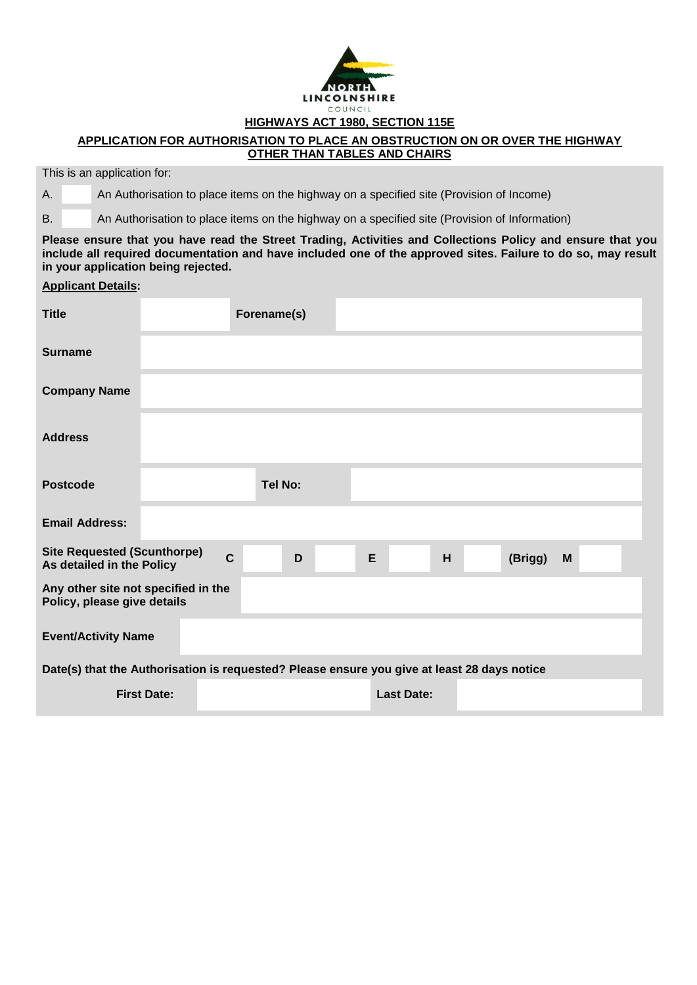

## **HIGHWAYS ACT 1980, SECTION 115E**

## **APPLICATION FOR AUTHORISATION TO PLACE AN OBSTRUCTION ON OR OVER THE HIGHWAY OTHER THAN TABLES AND CHAIRS**

This is an application for:

A. An Authorisation to place items on the highway on a specified site (Provision of Income)

B. An Authorisation to place items on the highway on a specified site (Provision of Information)

**Please ensure that you have read the Street Trading, Activities and Collections Policy and ensure that you include all required documentation and have included one of the approved sites. Failure to do so, may result in your application being rejected.**

## **Applicant Details:**

| <b>Title</b>                                                                                |                    | Forename(s)    |                   |   |         |   |
|---------------------------------------------------------------------------------------------|--------------------|----------------|-------------------|---|---------|---|
| <b>Surname</b>                                                                              |                    |                |                   |   |         |   |
| <b>Company Name</b>                                                                         |                    |                |                   |   |         |   |
| <b>Address</b>                                                                              |                    |                |                   |   |         |   |
| <b>Postcode</b>                                                                             |                    | <b>Tel No:</b> |                   |   |         |   |
| <b>Email Address:</b>                                                                       |                    |                |                   |   |         |   |
| <b>Site Requested (Scunthorpe)</b><br>As detailed in the Policy                             | $\mathbf c$        | D              | E                 | H | (Brigg) | M |
| Any other site not specified in the<br>Policy, please give details                          |                    |                |                   |   |         |   |
| <b>Event/Activity Name</b>                                                                  |                    |                |                   |   |         |   |
| Date(s) that the Authorisation is requested? Please ensure you give at least 28 days notice |                    |                |                   |   |         |   |
|                                                                                             | <b>First Date:</b> |                | <b>Last Date:</b> |   |         |   |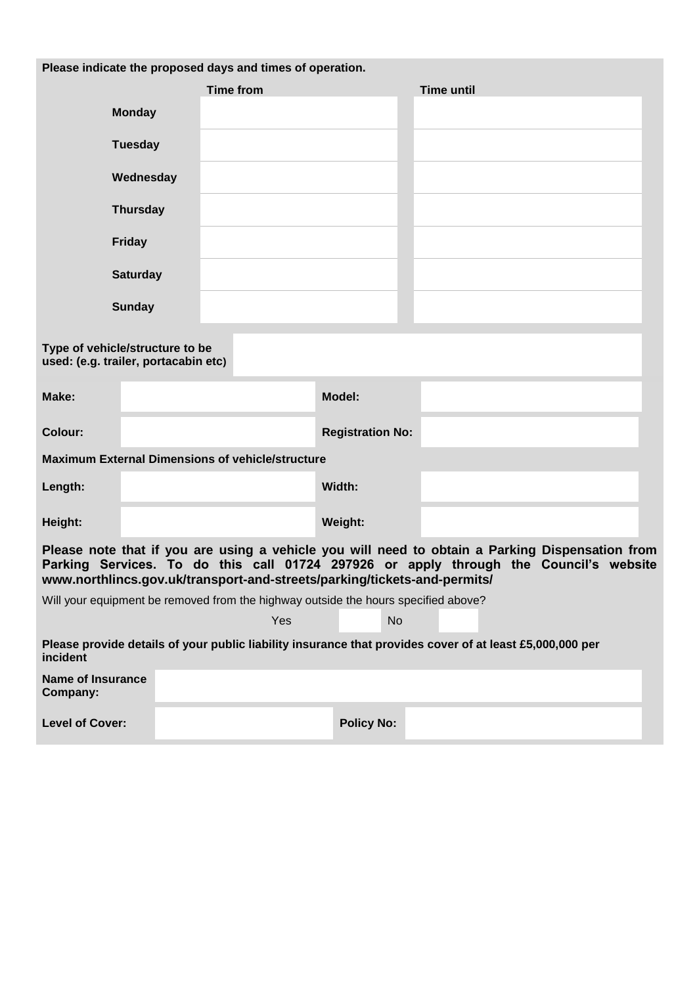| Please indicate the proposed days and times of operation.                                                                                                                                                                                                            |                                                                                    |                         |                   |  |  |
|----------------------------------------------------------------------------------------------------------------------------------------------------------------------------------------------------------------------------------------------------------------------|------------------------------------------------------------------------------------|-------------------------|-------------------|--|--|
|                                                                                                                                                                                                                                                                      | <b>Time from</b>                                                                   |                         | <b>Time until</b> |  |  |
| <b>Monday</b>                                                                                                                                                                                                                                                        |                                                                                    |                         |                   |  |  |
| <b>Tuesday</b>                                                                                                                                                                                                                                                       |                                                                                    |                         |                   |  |  |
| Wednesday                                                                                                                                                                                                                                                            |                                                                                    |                         |                   |  |  |
| <b>Thursday</b>                                                                                                                                                                                                                                                      |                                                                                    |                         |                   |  |  |
| <b>Friday</b>                                                                                                                                                                                                                                                        |                                                                                    |                         |                   |  |  |
| <b>Saturday</b>                                                                                                                                                                                                                                                      |                                                                                    |                         |                   |  |  |
| <b>Sunday</b>                                                                                                                                                                                                                                                        |                                                                                    |                         |                   |  |  |
| Type of vehicle/structure to be<br>used: (e.g. trailer, portacabin etc)                                                                                                                                                                                              |                                                                                    |                         |                   |  |  |
| Make:                                                                                                                                                                                                                                                                |                                                                                    | Model:                  |                   |  |  |
| <b>Colour:</b>                                                                                                                                                                                                                                                       |                                                                                    | <b>Registration No:</b> |                   |  |  |
|                                                                                                                                                                                                                                                                      | <b>Maximum External Dimensions of vehicle/structure</b>                            |                         |                   |  |  |
| Length:                                                                                                                                                                                                                                                              |                                                                                    | Width:                  |                   |  |  |
| Height:                                                                                                                                                                                                                                                              |                                                                                    | Weight:                 |                   |  |  |
| Please note that if you are using a vehicle you will need to obtain a Parking Dispensation from<br>Parking Services. To do this call 01724 297926 or apply through the Council's website<br>www.northlincs.gov.uk/transport-and-streets/parking/tickets-and-permits/ |                                                                                    |                         |                   |  |  |
|                                                                                                                                                                                                                                                                      | Will your equipment be removed from the highway outside the hours specified above? |                         |                   |  |  |
|                                                                                                                                                                                                                                                                      | Yes                                                                                | <b>No</b>               |                   |  |  |
| Please provide details of your public liability insurance that provides cover of at least £5,000,000 per<br>incident                                                                                                                                                 |                                                                                    |                         |                   |  |  |
| <b>Name of Insurance</b><br>Company:                                                                                                                                                                                                                                 |                                                                                    |                         |                   |  |  |
| <b>Level of Cover:</b>                                                                                                                                                                                                                                               |                                                                                    | <b>Policy No:</b>       |                   |  |  |